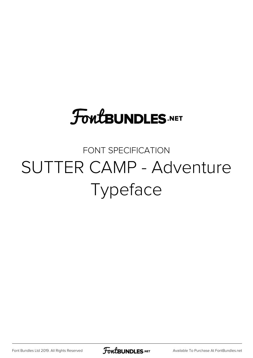## **FoutBUNDLES.NET**

#### FONT SPECIFICATION SUTTER CAMP - Adventure Typeface

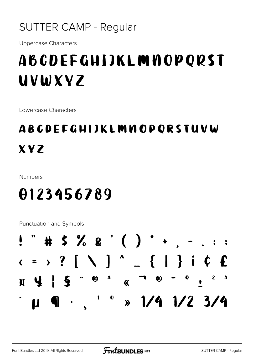#### **SUTTER CAMP - Regular**

**Uppercase Characters** 

### **ABCDEFGHIJKLMNOPORST** UVWXYZ

Lowercase Characters

#### **ABCDEFGHIJKLMMOPORSTUVW XYZ**

**Numbers** 

#### 0123456789

**Punctuation and Symbols** 

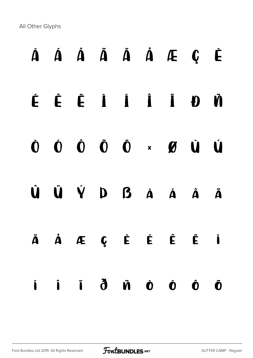All Other Glyphs

# À Á Â Ã Ä Å Æ Ç È É Ê Ë Ì Í Î Ï Ð Ñ Ò Ó Ô Õ Ö × Ø Ù Ú Û Ü Ý Þ ß à á â ã ä å æ ç è é ê ë ì í î ï ð ñ ò ó ô õ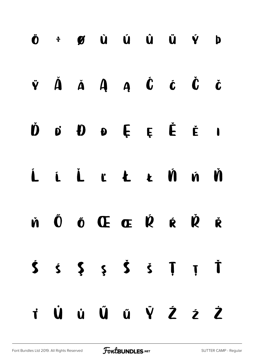|  | $\ddot{\mathbf{0}}$ + $\mathbf{g}$ $\dot{\mathbf{u}}$ $\dot{\mathbf{u}}$ $\dot{\mathbf{u}}$ $\ddot{\mathbf{u}}$ $\dot{\mathbf{v}}$ $\mathbf{b}$                                           |  |  |  |
|--|-------------------------------------------------------------------------------------------------------------------------------------------------------------------------------------------|--|--|--|
|  | $\ddot{\mathbf{v}}\quad \ddot{\mathbf{A}}\quad \ddot{\mathbf{A}}\quad \mathbf{A}\quad \mathbf{A}\quad \dot{\mathbf{C}}\quad \dot{\mathbf{C}}\quad \dot{\mathbf{C}}\quad \dot{\mathbf{C}}$ |  |  |  |
|  | $\dot{\mathbf{D}}$ of $\mathbf{D}$ of $\dot{\mathbf{E}}$ if it                                                                                                                            |  |  |  |
|  | Ĺ Ĺ Ľ Ł Ł Ń Ń Ň                                                                                                                                                                           |  |  |  |
|  | Ň Ő Ő Œ Œ Ŕ Ŕ Ř                                                                                                                                                                           |  |  |  |
|  | $\dot{S}$ $\dot{S}$ $\dot{S}$ $\dot{S}$ $\dot{S}$ $\ddot{J}$ $\ddot{J}$                                                                                                                   |  |  |  |
|  | TÜÜŰŰŰŸŹŹ                                                                                                                                                                                 |  |  |  |